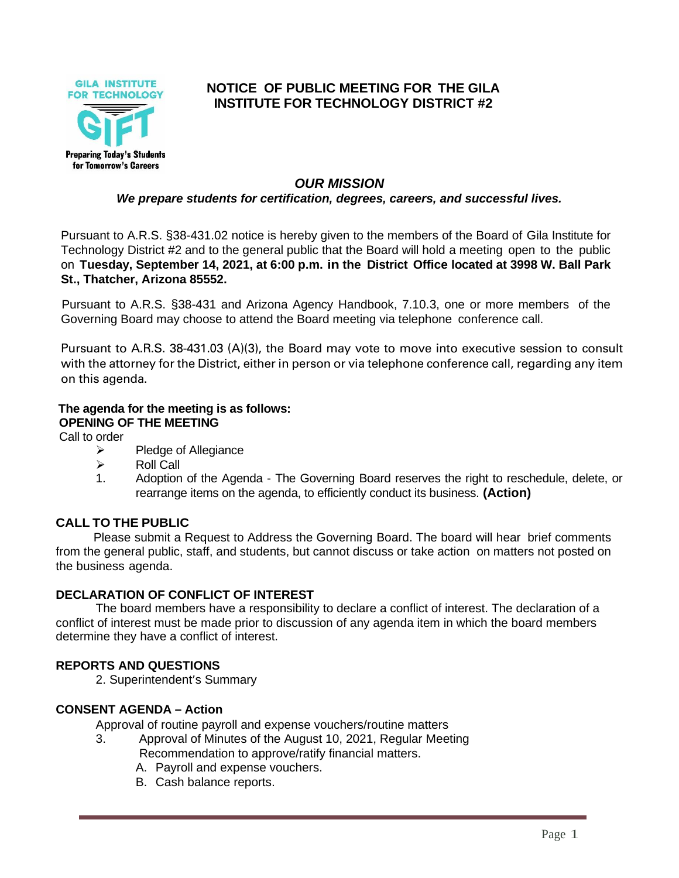

# **NOTICE OF PUBLIC MEETING FOR THE GILA INSTITUTE FOR TECHNOLOGY DISTRICT #2**

### *OUR MISSION*

*We prepare students for certification, degrees, careers, and successful lives.*

Pursuant to A.R.S. §38-431.02 notice is hereby given to the members of the Board of Gila Institute for Technology District #2 and to the general public that the Board will hold a meeting open to the public on **Tuesday, September 14, 2021, at 6:00 p.m. in the District Office located at 3998 W. Ball Park St., Thatcher, Arizona 85552.**

Pursuant to A.R.S. §38-431 and Arizona Agency Handbook, 7.10.3, one or more members of the Governing Board may choose to attend the Board meeting via telephone conference call.

Pursuant to A.R.S. 38-431.03 (A)(3), the Board may vote to move into executive session to consult with the attorney for the District, either in person or via telephone conference call, regarding any item on this agenda.

## **The agenda for the meeting is as follows: OPENING OF THE MEETING**

Call to order

- ➢ Pledge of Allegiance
- $\triangleright$  Roll Call
- 1. Adoption of the Agenda The Governing Board reserves the right to reschedule, delete, or rearrange items on the agenda, to efficiently conduct its business. **(Action)**

#### **CALL TO THE PUBLIC**

Please submit a Request to Address the Governing Board. The board will hear brief comments from the general public, staff, and students, but cannot discuss or take action on matters not posted on the business agenda.

#### **DECLARATION OF CONFLICT OF INTEREST**

The board members have a responsibility to declare a conflict of interest. The declaration of a conflict of interest must be made prior to discussion of any agenda item in which the board members determine they have a conflict of interest.

#### **REPORTS AND QUESTIONS**

2. Superintendent's Summary

#### **CONSENT AGENDA – Action**

Approval of routine payroll and expense vouchers/routine matters

- 3. Approval of Minutes of the August 10, 2021, Regular Meeting Recommendation to approve/ratify financial matters.
	- A. Payroll and expense vouchers.
	- B. Cash balance reports.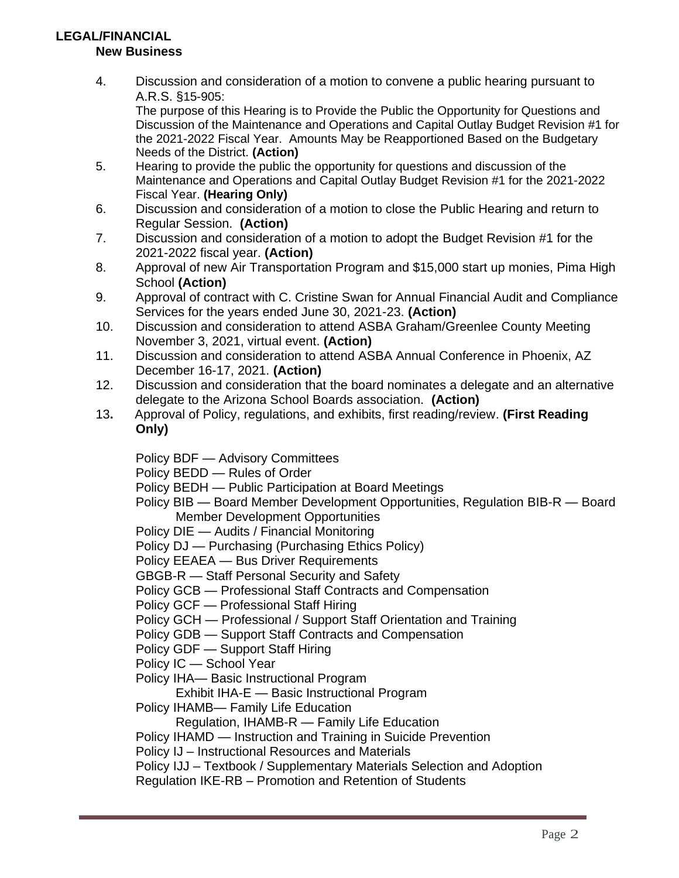# **LEGAL/FINANCIAL**

**New Business**

4. Discussion and consideration of a motion to convene a public hearing pursuant to A.R.S. §15-905:

The purpose of this Hearing is to Provide the Public the Opportunity for Questions and Discussion of the Maintenance and Operations and Capital Outlay Budget Revision #1 for the 2021-2022 Fiscal Year. Amounts May be Reapportioned Based on the Budgetary Needs of the District. **(Action)**

- 5. Hearing to provide the public the opportunity for questions and discussion of the Maintenance and Operations and Capital Outlay Budget Revision #1 for the 2021-2022 Fiscal Year. **(Hearing Only)**
- 6. Discussion and consideration of a motion to close the Public Hearing and return to Regular Session. **(Action)**
- 7. Discussion and consideration of a motion to adopt the Budget Revision #1 for the 2021-2022 fiscal year. **(Action)**
- 8. Approval of new Air Transportation Program and \$15,000 start up monies, Pima High School **(Action)**
- 9. Approval of contract with C. Cristine Swan for Annual Financial Audit and Compliance Services for the years ended June 30, 2021-23. **(Action)**
- 10. Discussion and consideration to attend ASBA Graham/Greenlee County Meeting November 3, 2021, virtual event. **(Action)**
- 11. Discussion and consideration to attend ASBA Annual Conference in Phoenix, AZ December 16-17, 2021. **(Action)**
- 12. Discussion and consideration that the board nominates a delegate and an alternative delegate to the Arizona School Boards association. **(Action)**
- 13**.** Approval of Policy, regulations, and exhibits, first reading/review. **(First Reading Only)**

Policy BDF — Advisory Committees

Policy BEDD — Rules of Order

- Policy BEDH Public Participation at Board Meetings
- Policy BIB Board Member Development Opportunities, Regulation BIB-R Board Member Development Opportunities
- Policy DIE Audits / Financial Monitoring
- Policy DJ Purchasing (Purchasing Ethics Policy)
- Policy EEAEA Bus Driver Requirements
- GBGB-R Staff Personal Security and Safety
- Policy GCB Professional Staff Contracts and Compensation
- Policy GCF Professional Staff Hiring
- Policy GCH Professional / Support Staff Orientation and Training
- Policy GDB Support Staff Contracts and Compensation
- Policy GDF Support Staff Hiring
- Policy IC School Year
- Policy IHA— Basic Instructional Program
	- Exhibit IHA-E Basic Instructional Program
- Policy IHAMB— Family Life Education

Regulation, IHAMB-R — Family Life Education

Policy IHAMD — Instruction and Training in Suicide Prevention

Policy IJ – Instructional Resources and Materials

Policy IJJ – Textbook / Supplementary Materials Selection and Adoption

Regulation IKE-RB – Promotion and Retention of Students